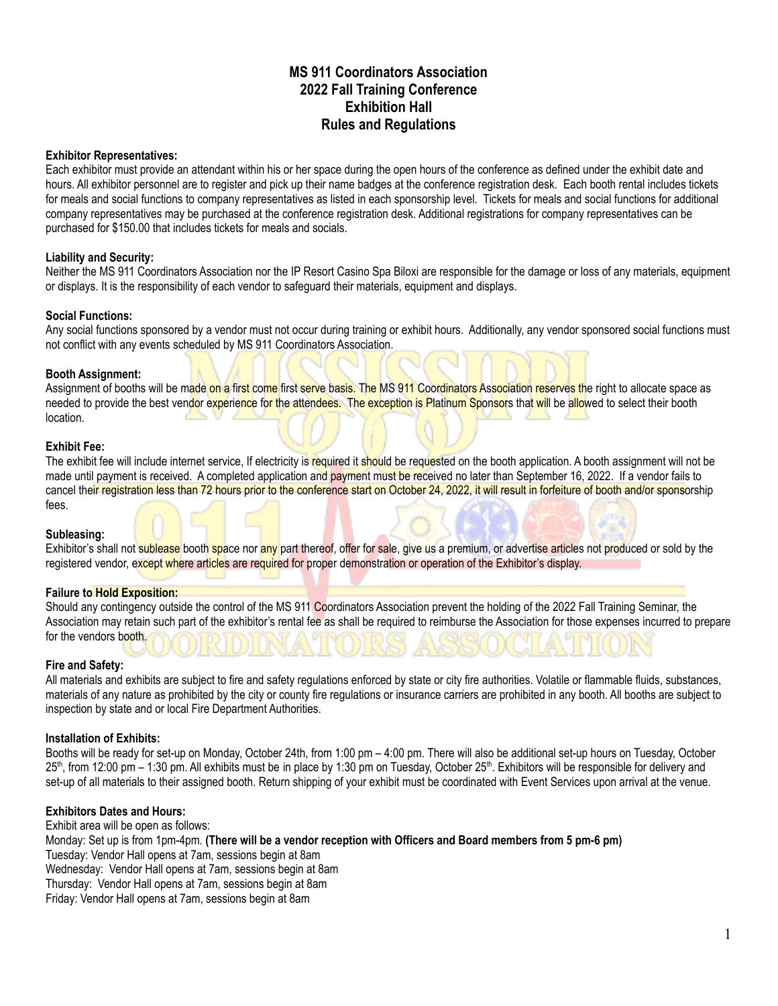# **MS 911 Coordinators Association 2022 Fall Training Conference Exhibition Hall Rules and Regulations**

### **Exhibitor Representatives:**

Each exhibitor must provide an attendant within his or her space during the open hours of the conference as defined under the exhibit date and hours. All exhibitor personnel are to register and pick up their name badges at the conference registration desk. Each booth rental includes tickets for meals and social functions to company representatives as listed in each sponsorship level. Tickets for meals and social functions for additional company representatives may be purchased at the conference registration desk. Additional registrations for company representatives can be purchased for \$150.00 that includes tickets for meals and socials.

# **Liability and Security:**

Neither the MS 911 Coordinators Association nor the IP Resort Casino Spa Biloxi are responsible for the damage or loss of any materials, equipment or displays. It is the responsibility of each vendor to safeguard their materials, equipment and displays.

# **Social Functions:**

Any social functions sponsored by a vendor must not occur during training or exhibit hours. Additionally, any vendor sponsored social functions must not conflict with any events scheduled by MS 911 Coordinators Association.

# **Booth Assignment:**

Assignment of booths will be made on a first come first serve basis. The MS 911 Coordinators Association reserves the right to allocate space as needed to provide the best vendor experience for the attendees. The exception is Platinum Sponsors that will be allowed to select their booth location.

#### **Exhibit Fee:**

The exhibit fee will include internet service, If electricity is required it should be requested on the booth application. A booth assignment will not be made until payment is received. A completed application and payment must be received no later than September 16, 2022. If a vendor fails to cancel their registration less than 72 hours prior to the conference start on October 24, 2022, it will result in forfeiture of booth and/or sponsorship fees.

#### **Subleasing:**

Exhibitor's shall not sublease booth space nor any part thereof, offer for sale, give us a premium, or advertise articles not produced or sold by the registered vendor, except where articles are required for proper demonstration or operation of the Exhibitor's display.

# **Failure to Hold Exposition:**

Should any contingency outside the control of the MS 911 Coordinators Association prevent the holding of the 2022 Fall Training Seminar, the Association may retain such part of the exhibitor's rental fee as shall be required to reimburse the Association for those expenses incurred to prepare for the vendors booth.

#### **Fire and Safety:**

All materials and exhibits are subject to fire and safety regulations enforced by state or city fire authorities. Volatile or flammable fluids, substances, materials of any nature as prohibited by the city or county fire regulations or insurance carriers are prohibited in any booth. All booths are subject to inspection by state and or local Fire Department Authorities.

# **Installation of Exhibits:**

Booths will be ready for set-up on Monday, October 24th, from 1:00 pm – 4:00 pm. There will also be additional set-up hours on Tuesday, October 25<sup>th</sup>, from 12:00 pm – 1:30 pm. All exhibits must be in place by 1:30 pm on Tuesday, October 25<sup>th</sup>. Exhibitors will be responsible for delivery and set-up of all materials to their assigned booth. Return shipping of your exhibit must be coordinated with Event Services upon arrival at the venue.

# **Exhibitors Dates and Hours:**

Exhibit area will be open as follows:

Monday: Set up is from 1pm-4pm. **(There will be a vendor reception with Officers and Board members from 5 pm-6 pm)** Tuesday: Vendor Hall opens at 7am, sessions begin at 8am Wednesday: Vendor Hall opens at 7am, sessions begin at 8am Thursday: Vendor Hall opens at 7am, sessions begin at 8am Friday: Vendor Hall opens at 7am, sessions begin at 8am